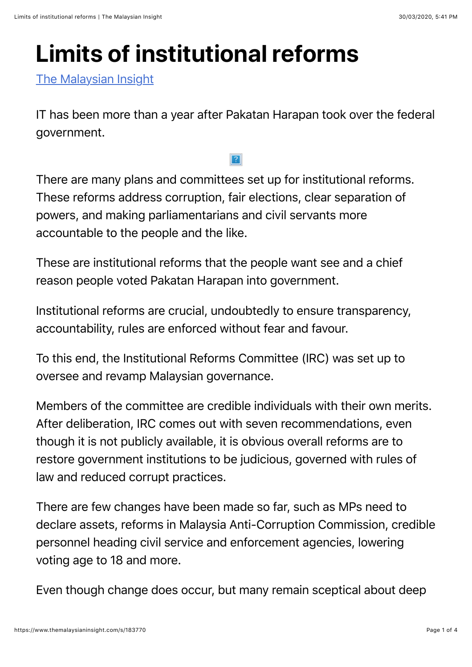## **Limits of institutional reforms**

[The Malaysian Insight](https://www.themalaysianinsight.com/)

IT has been more than a year after Pakatan Harapan took over the federal government.

There are many plans and committees set up for institutional reforms. These reforms address corruption, fair elections, clear separation of powers, and making parliamentarians and civil servants more accountable to the people and the like.

These are institutional reforms that the people want see and a chief reason people voted Pakatan Harapan into government.

Institutional reforms are crucial, undoubtedly to ensure transparency, accountability, rules are enforced without fear and favour.

To this end, the Institutional Reforms Committee (IRC) was set up to oversee and revamp Malaysian governance.

Members of the committee are credible individuals with their own merits. After deliberation, IRC comes out with seven recommendations, even though it is not publicly available, it is obvious overall reforms are to restore government institutions to be judicious, governed with rules of law and reduced corrupt practices.

There are few changes have been made so far, such as MPs need to declare assets, reforms in Malaysia Anti-Corruption Commission, credible personnel heading civil service and enforcement agencies, lowering voting age to 18 and more.

Even though change does occur, but many remain sceptical about deep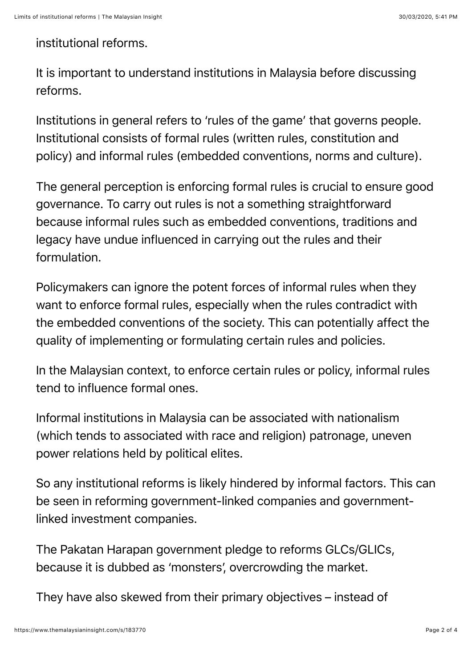## institutional reforms.

It is important to understand institutions in Malaysia before discussing reforms.

Institutions in general refers to 'rules of the game' that governs people. Institutional consists of formal rules (written rules, constitution and policy) and informal rules (embedded conventions, norms and culture).

The general perception is enforcing formal rules is crucial to ensure good governance. To carry out rules is not a something straightforward because informal rules such as embedded conventions, traditions and legacy have undue influenced in carrying out the rules and their formulation.

Policymakers can ignore the potent forces of informal rules when they want to enforce formal rules, especially when the rules contradict with the embedded conventions of the society. This can potentially affect the quality of implementing or formulating certain rules and policies.

In the Malaysian context, to enforce certain rules or policy, informal rules tend to influence formal ones.

Informal institutions in Malaysia can be associated with nationalism (which tends to associated with race and religion) patronage, uneven power relations held by political elites.

So any institutional reforms is likely hindered by informal factors. This can be seen in reforming government-linked companies and governmentlinked investment companies.

The Pakatan Harapan government pledge to reforms GLCs/GLICs, because it is dubbed as 'monsters', overcrowding the market.

They have also skewed from their primary objectives – instead of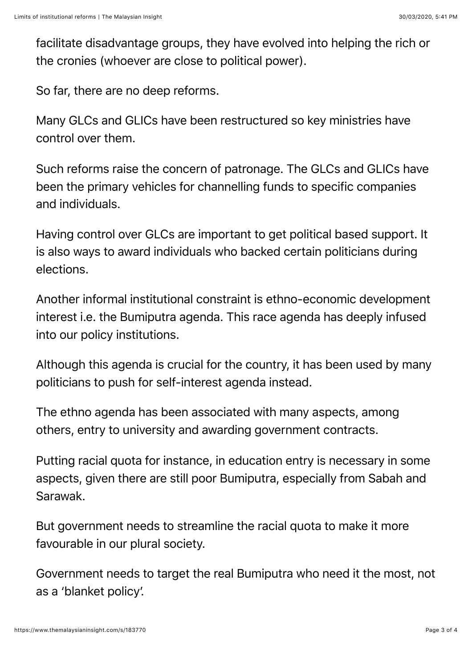facilitate disadvantage groups, they have evolved into helping the rich or the cronies (whoever are close to political power).

So far, there are no deep reforms.

Many GLCs and GLICs have been restructured so key ministries have control over them.

Such reforms raise the concern of patronage. The GLCs and GLICs have been the primary vehicles for channelling funds to specific companies and individuals.

Having control over GLCs are important to get political based support. It is also ways to award individuals who backed certain politicians during elections.

Another informal institutional constraint is ethno-economic development interest i.e. the Bumiputra agenda. This race agenda has deeply infused into our policy institutions.

Although this agenda is crucial for the country, it has been used by many politicians to push for self-interest agenda instead.

The ethno agenda has been associated with many aspects, among others, entry to university and awarding government contracts.

Putting racial quota for instance, in education entry is necessary in some aspects, given there are still poor Bumiputra, especially from Sabah and Sarawak.

But government needs to streamline the racial quota to make it more favourable in our plural society.

Government needs to target the real Bumiputra who need it the most, not as a 'blanket policy'.